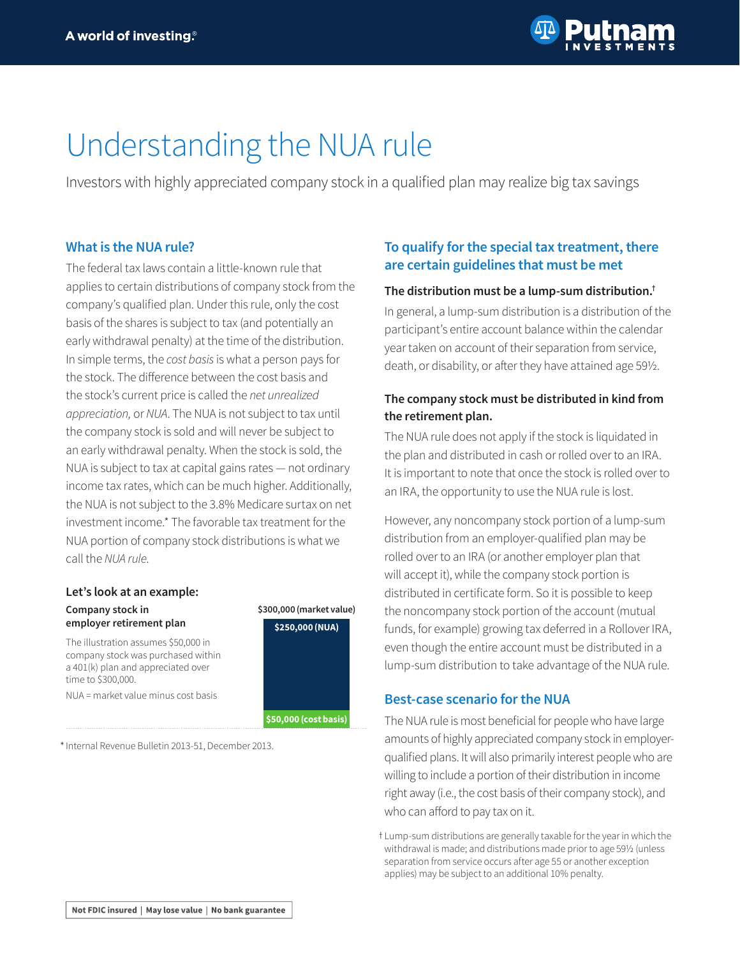

# Understanding the NUA rule

Investors with highly appreciated company stock in a qualified plan may realize big tax savings

## **What is the NUA rule?**

The federal tax laws contain a little-known rule that applies to certain distributions of company stock from the company's qualified plan. Under this rule, only the cost basis of the shares is subject to tax (and potentially an early withdrawal penalty) at the time of the distribution. In simple terms, the *cost basis* is what a person pays for the stock. The difference between the cost basis and the stock's current price is called the *net unrealized appreciation,* or *NUA*. The NUA is not subject to tax until the company stock is sold and will never be subject to an early withdrawal penalty. When the stock is sold, the NUA is subject to tax at capital gains rates — not ordinary income tax rates, which can be much higher. Additionally, the NUA is not subject to the 3.8% Medicare surtax on net investment income.\* The favorable tax treatment for the NUA portion of company stock distributions is what we call the *NUA rule*.

## **Let's look at an example: Company stock in**

**employer retirement plan**

The illustration assumes \$50,000 in company stock was purchased within a 401(k) plan and appreciated over time to \$300,000.

NUA = market value minus cost basis

\* Internal Revenue Bulletin 2013-51, December 2013.

# **To qualify for the special tax treatment, there are certain guidelines that must be met**

#### **The distribution must be a lump-sum distribution.†**

In general, a lump-sum distribution is a distribution of the participant's entire account balance within the calendar year taken on account of their separation from service, death, or disability, or after they have attained age 59½.

## **The company stock must be distributed in kind from the retirement plan.**

The NUA rule does not apply if the stock is liquidated in the plan and distributed in cash or rolled over to an IRA. It is important to note that once the stock is rolled over to an IRA, the opportunity to use the NUA rule is lost.

However, any noncompany stock portion of a lump-sum distribution from an employer-qualified plan may be rolled over to an IRA (or another employer plan that will accept it), while the company stock portion is distributed in certificate form. So it is possible to keep the noncompany stock portion of the account (mutual funds, for example) growing tax deferred in a Rollover IRA, even though the entire account must be distributed in a lump-sum distribution to take advantage of the NUA rule.

## **Best-case scenario for the NUA**

The NUA rule is most beneficial for people who have large amounts of highly appreciated company stock in employerqualified plans. It will also primarily interest people who are willing to include a portion of their distribution in income right away (i.e., the cost basis of their company stock), and who can afford to pay tax on it.



t Lump-sum distributions are generally taxable for the year in which the withdrawal is made; and distributions made prior to age 59½ (unless separation from service occurs after age 55 or another exception applies) may be subject to an additional 10% penalty.